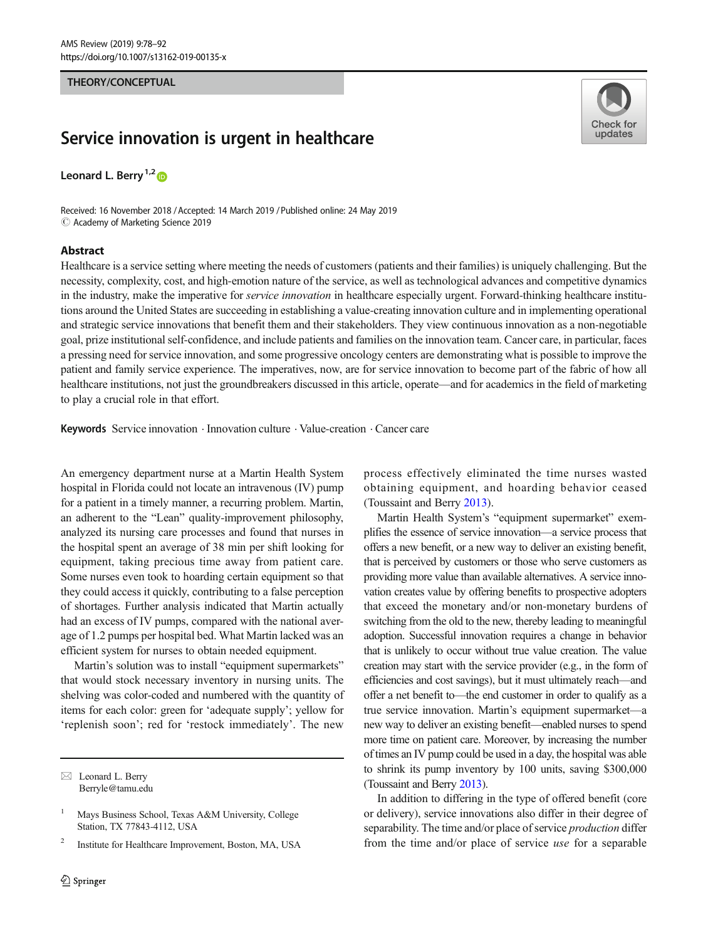### THEORY/CONCEPTUAL

# Service innovation is urgent in healthcare

Leonard L. Berry<sup>1,2</sup>

Received: 16 November 2018 /Accepted: 14 March 2019 /Published online: 24 May 2019  $\odot$  Academy of Marketing Science 2019

### Abstract



Healthcare is a service setting where meeting the needs of customers (patients and their families) is uniquely challenging. But the necessity, complexity, cost, and high-emotion nature of the service, as well as technological advances and competitive dynamics in the industry, make the imperative for *service innovation* in healthcare especially urgent. Forward-thinking healthcare institutions around the United States are succeeding in establishing a value-creating innovation culture and in implementing operational and strategic service innovations that benefit them and their stakeholders. They view continuous innovation as a non-negotiable goal, prize institutional self-confidence, and include patients and families on the innovation team. Cancer care, in particular, faces a pressing need for service innovation, and some progressive oncology centers are demonstrating what is possible to improve the patient and family service experience. The imperatives, now, are for service innovation to become part of the fabric of how all healthcare institutions, not just the groundbreakers discussed in this article, operate—and for academics in the field of marketing to play a crucial role in that effort.

Keywords Service innovation . Innovation culture . Value-creation . Cancer care

An emergency department nurse at a Martin Health System hospital in Florida could not locate an intravenous (IV) pump for a patient in a timely manner, a recurring problem. Martin, an adherent to the "Lean" quality-improvement philosophy, analyzed its nursing care processes and found that nurses in the hospital spent an average of 38 min per shift looking for equipment, taking precious time away from patient care. Some nurses even took to hoarding certain equipment so that they could access it quickly, contributing to a false perception of shortages. Further analysis indicated that Martin actually had an excess of IV pumps, compared with the national average of 1.2 pumps per hospital bed. What Martin lacked was an efficient system for nurses to obtain needed equipment.

Martin's solution was to install "equipment supermarkets" that would stock necessary inventory in nursing units. The shelving was color-coded and numbered with the quantity of items for each color: green for 'adequate supply'; yellow for 'replenish soon'; red for 'restock immediately'. The new

process effectively eliminated the time nurses wasted obtaining equipment, and hoarding behavior ceased (Toussaint and Berry [2013\)](#page-14-0).

Martin Health System's "equipment supermarket" exemplifies the essence of service innovation—a service process that offers a new benefit, or a new way to deliver an existing benefit, that is perceived by customers or those who serve customers as providing more value than available alternatives. A service innovation creates value by offering benefits to prospective adopters that exceed the monetary and/or non-monetary burdens of switching from the old to the new, thereby leading to meaningful adoption. Successful innovation requires a change in behavior that is unlikely to occur without true value creation. The value creation may start with the service provider (e.g., in the form of efficiencies and cost savings), but it must ultimately reach—and offer a net benefit to—the end customer in order to qualify as a true service innovation. Martin's equipment supermarket—a new way to deliver an existing benefit—enabled nurses to spend more time on patient care. Moreover, by increasing the number of times an IV pump could be used in a day, the hospital was able to shrink its pump inventory by 100 units, saving \$300,000 (Toussaint and Berry [2013](#page-14-0)).

In addition to differing in the type of offered benefit (core or delivery), service innovations also differ in their degree of separability. The time and/or place of service *production* differ from the time and/or place of service use for a separable

 $\boxtimes$  Leonard L. Berry [Berryle@tamu.edu](mailto:Berryle@tamu.edu)

Mays Business School, Texas A&M University, College Station, TX 77843-4112, USA

Institute for Healthcare Improvement, Boston, MA, USA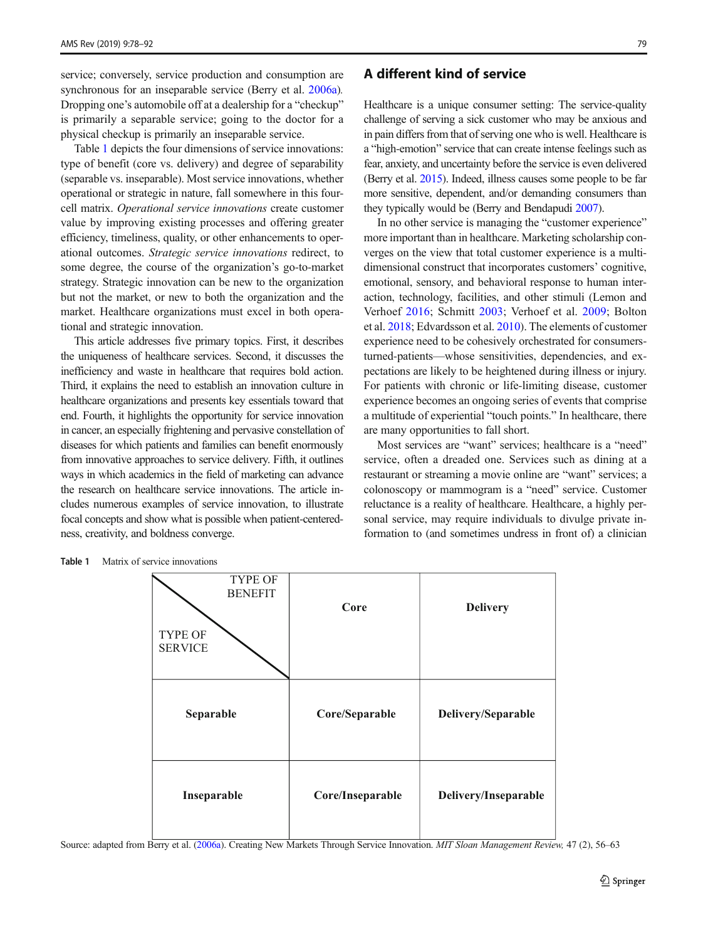service; conversely, service production and consumption are synchronous for an inseparable service (Berry et al. [2006a\)](#page-12-0). Dropping one's automobile off at a dealership for a "checkup" is primarily a separable service; going to the doctor for a physical checkup is primarily an inseparable service.

Table 1 depicts the four dimensions of service innovations: type of benefit (core vs. delivery) and degree of separability (separable vs. inseparable). Most service innovations, whether operational or strategic in nature, fall somewhere in this fourcell matrix. Operational service innovations create customer value by improving existing processes and offering greater efficiency, timeliness, quality, or other enhancements to operational outcomes. Strategic service innovations redirect, to some degree, the course of the organization's go-to-market strategy. Strategic innovation can be new to the organization but not the market, or new to both the organization and the market. Healthcare organizations must excel in both operational and strategic innovation.

This article addresses five primary topics. First, it describes the uniqueness of healthcare services. Second, it discusses the inefficiency and waste in healthcare that requires bold action. Third, it explains the need to establish an innovation culture in healthcare organizations and presents key essentials toward that end. Fourth, it highlights the opportunity for service innovation in cancer, an especially frightening and pervasive constellation of diseases for which patients and families can benefit enormously from innovative approaches to service delivery. Fifth, it outlines ways in which academics in the field of marketing can advance the research on healthcare service innovations. The article includes numerous examples of service innovation, to illustrate focal concepts and show what is possible when patient-centeredness, creativity, and boldness converge.

# A different kind of service

Healthcare is a unique consumer setting: The service-quality challenge of serving a sick customer who may be anxious and in pain differs from that of serving one who is well. Healthcare is a "high-emotion" service that can create intense feelings such as fear, anxiety, and uncertainty before the service is even delivered (Berry et al. [2015](#page-12-0)). Indeed, illness causes some people to be far more sensitive, dependent, and/or demanding consumers than they typically would be (Berry and Bendapudi [2007](#page-12-0)).

In no other service is managing the "customer experience" more important than in healthcare. Marketing scholarship converges on the view that total customer experience is a multidimensional construct that incorporates customers' cognitive, emotional, sensory, and behavioral response to human interaction, technology, facilities, and other stimuli (Lemon and Verhoef [2016;](#page-13-0) Schmitt [2003](#page-14-0); Verhoef et al. [2009](#page-14-0); Bolton et al. [2018;](#page-12-0) Edvardsson et al. [2010\)](#page-13-0). The elements of customer experience need to be cohesively orchestrated for consumersturned-patients—whose sensitivities, dependencies, and expectations are likely to be heightened during illness or injury. For patients with chronic or life-limiting disease, customer experience becomes an ongoing series of events that comprise a multitude of experiential "touch points." In healthcare, there are many opportunities to fall short.

Most services are "want" services; healthcare is a "need" service, often a dreaded one. Services such as dining at a restaurant or streaming a movie online are "want" services; a colonoscopy or mammogram is a "need" service. Customer reluctance is a reality of healthcare. Healthcare, a highly personal service, may require individuals to divulge private information to (and sometimes undress in front of) a clinician

Table 1 Matrix of service innovations



Source: adapted from Berry et al. ([2006a\)](#page-12-0). Creating New Markets Through Service Innovation. MIT Sloan Management Review, 47 (2), 56–63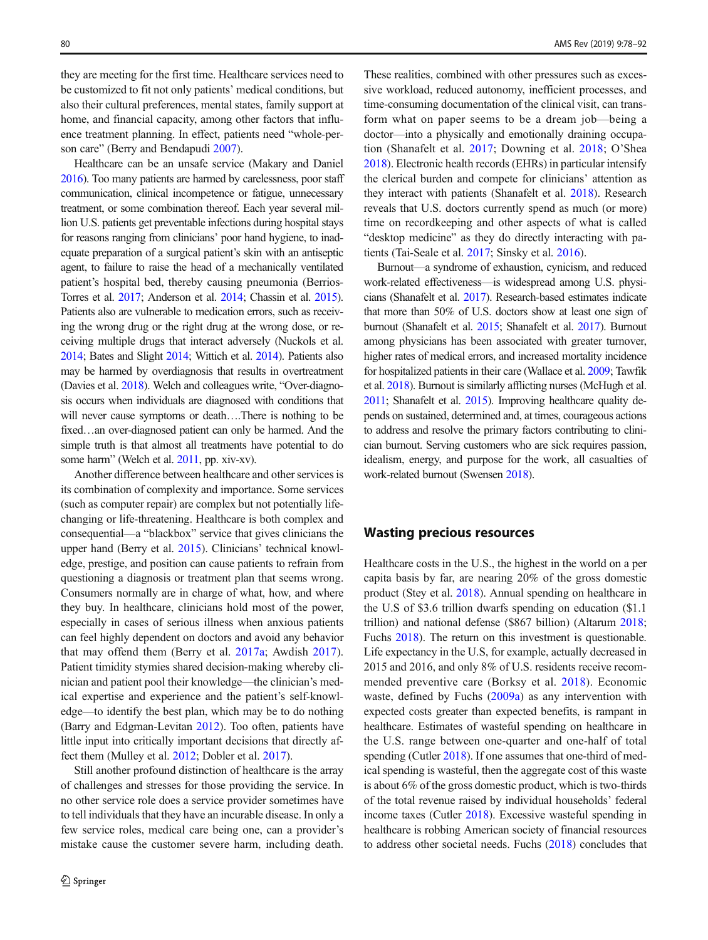they are meeting for the first time. Healthcare services need to be customized to fit not only patients' medical conditions, but also their cultural preferences, mental states, family support at home, and financial capacity, among other factors that influence treatment planning. In effect, patients need "whole-person care" (Berry and Bendapudi [2007](#page-12-0)).

Healthcare can be an unsafe service (Makary and Daniel [2016\)](#page-13-0). Too many patients are harmed by carelessness, poor staff communication, clinical incompetence or fatigue, unnecessary treatment, or some combination thereof. Each year several million U.S. patients get preventable infections during hospital stays for reasons ranging from clinicians' poor hand hygiene, to inadequate preparation of a surgical patient's skin with an antiseptic agent, to failure to raise the head of a mechanically ventilated patient's hospital bed, thereby causing pneumonia (Berrios-Torres et al. [2017](#page-12-0); Anderson et al. [2014](#page-12-0); Chassin et al. [2015\)](#page-13-0). Patients also are vulnerable to medication errors, such as receiving the wrong drug or the right drug at the wrong dose, or receiving multiple drugs that interact adversely (Nuckols et al. [2014;](#page-14-0) Bates and Slight [2014;](#page-12-0) Wittich et al. [2014](#page-14-0)). Patients also may be harmed by overdiagnosis that results in overtreatment (Davies et al. [2018](#page-13-0)). Welch and colleagues write, "Over-diagnosis occurs when individuals are diagnosed with conditions that will never cause symptoms or death….There is nothing to be fixed…an over-diagnosed patient can only be harmed. And the simple truth is that almost all treatments have potential to do some harm" (Welch et al. [2011](#page-14-0), pp. xiv-xv).

Another difference between healthcare and other services is its combination of complexity and importance. Some services (such as computer repair) are complex but not potentially lifechanging or life-threatening. Healthcare is both complex and consequential—a "blackbox" service that gives clinicians the upper hand (Berry et al. [2015](#page-12-0)). Clinicians' technical knowledge, prestige, and position can cause patients to refrain from questioning a diagnosis or treatment plan that seems wrong. Consumers normally are in charge of what, how, and where they buy. In healthcare, clinicians hold most of the power, especially in cases of serious illness when anxious patients can feel highly dependent on doctors and avoid any behavior that may offend them (Berry et al. [2017a;](#page-12-0) Awdish [2017](#page-12-0)). Patient timidity stymies shared decision-making whereby clinician and patient pool their knowledge—the clinician's medical expertise and experience and the patient's self-knowledge—to identify the best plan, which may be to do nothing (Barry and Edgman-Levitan [2012\)](#page-12-0). Too often, patients have little input into critically important decisions that directly affect them (Mulley et al. [2012;](#page-13-0) Dobler et al. [2017\)](#page-13-0).

Still another profound distinction of healthcare is the array of challenges and stresses for those providing the service. In no other service role does a service provider sometimes have to tell individuals that they have an incurable disease. In only a few service roles, medical care being one, can a provider's mistake cause the customer severe harm, including death.

These realities, combined with other pressures such as excessive workload, reduced autonomy, inefficient processes, and time-consuming documentation of the clinical visit, can transform what on paper seems to be a dream job—being a doctor—into a physically and emotionally draining occupation (Shanafelt et al. [2017](#page-14-0); Downing et al. [2018;](#page-13-0) O'Shea [2018\)](#page-14-0). Electronic health records (EHRs) in particular intensify the clerical burden and compete for clinicians' attention as they interact with patients (Shanafelt et al. [2018\)](#page-14-0). Research reveals that U.S. doctors currently spend as much (or more) time on recordkeeping and other aspects of what is called "desktop medicine" as they do directly interacting with patients (Tai-Seale et al. [2017;](#page-14-0) Sinsky et al. [2016](#page-14-0)).

Burnout—a syndrome of exhaustion, cynicism, and reduced work-related effectiveness—is widespread among U.S. physicians (Shanafelt et al. [2017\)](#page-14-0). Research-based estimates indicate that more than 50% of U.S. doctors show at least one sign of burnout (Shanafelt et al. [2015](#page-14-0); Shanafelt et al. [2017\)](#page-14-0). Burnout among physicians has been associated with greater turnover, higher rates of medical errors, and increased mortality incidence for hospitalized patients in their care (Wallace et al. [2009](#page-14-0); Tawfik et al. [2018](#page-14-0)). Burnout is similarly afflicting nurses (McHugh et al. [2011;](#page-13-0) Shanafelt et al. [2015](#page-14-0)). Improving healthcare quality depends on sustained, determined and, at times, courageous actions to address and resolve the primary factors contributing to clinician burnout. Serving customers who are sick requires passion, idealism, energy, and purpose for the work, all casualties of work-related burnout (Swensen [2018\)](#page-14-0).

### Wasting precious resources

Healthcare costs in the U.S., the highest in the world on a per capita basis by far, are nearing 20% of the gross domestic product (Stey et al. [2018](#page-14-0)). Annual spending on healthcare in the U.S of \$3.6 trillion dwarfs spending on education (\$1.1 trillion) and national defense (\$867 billion) (Altarum [2018;](#page-12-0) Fuchs [2018](#page-13-0)). The return on this investment is questionable. Life expectancy in the U.S, for example, actually decreased in 2015 and 2016, and only 8% of U.S. residents receive recommended preventive care (Borksy et al. [2018](#page-12-0)). Economic waste, defined by Fuchs [\(2009a\)](#page-13-0) as any intervention with expected costs greater than expected benefits, is rampant in healthcare. Estimates of wasteful spending on healthcare in the U.S. range between one-quarter and one-half of total spending (Cutler [2018\)](#page-13-0). If one assumes that one-third of medical spending is wasteful, then the aggregate cost of this waste is about 6% of the gross domestic product, which is two-thirds of the total revenue raised by individual households' federal income taxes (Cutler [2018](#page-13-0)). Excessive wasteful spending in healthcare is robbing American society of financial resources to address other societal needs. Fuchs ([2018](#page-13-0)) concludes that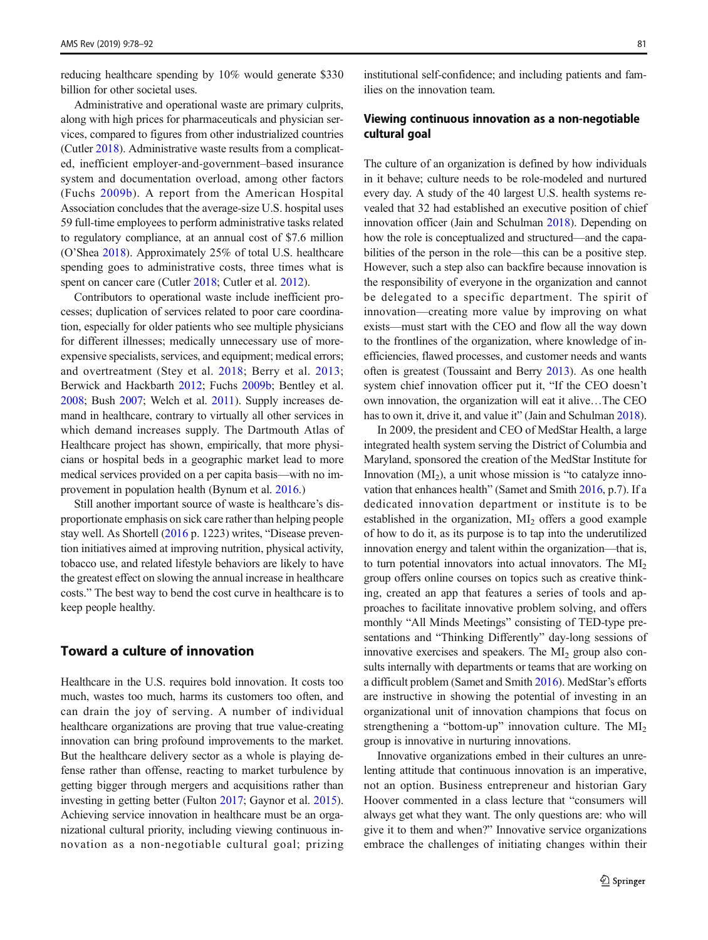reducing healthcare spending by 10% would generate \$330 billion for other societal uses.

Administrative and operational waste are primary culprits, along with high prices for pharmaceuticals and physician services, compared to figures from other industrialized countries (Cutler [2018](#page-13-0)). Administrative waste results from a complicated, inefficient employer-and-government–based insurance system and documentation overload, among other factors (Fuchs [2009b\)](#page-13-0). A report from the American Hospital Association concludes that the average-size U.S. hospital uses 59 full-time employees to perform administrative tasks related to regulatory compliance, at an annual cost of \$7.6 million (O'Shea [2018\)](#page-14-0). Approximately 25% of total U.S. healthcare spending goes to administrative costs, three times what is spent on cancer care (Cutler [2018](#page-13-0); Cutler et al. [2012\)](#page-13-0).

Contributors to operational waste include inefficient processes; duplication of services related to poor care coordination, especially for older patients who see multiple physicians for different illnesses; medically unnecessary use of moreexpensive specialists, services, and equipment; medical errors; and overtreatment (Stey et al. [2018;](#page-14-0) Berry et al. [2013](#page-12-0); Berwick and Hackbarth [2012](#page-12-0); Fuchs [2009b](#page-13-0); Bentley et al. [2008;](#page-12-0) Bush [2007](#page-12-0); Welch et al. [2011](#page-14-0)). Supply increases demand in healthcare, contrary to virtually all other services in which demand increases supply. The Dartmouth Atlas of Healthcare project has shown, empirically, that more physicians or hospital beds in a geographic market lead to more medical services provided on a per capita basis—with no improvement in population health (Bynum et al. [2016](#page-12-0).)

Still another important source of waste is healthcare's disproportionate emphasis on sick care rather than helping people stay well. As Shortell ([2016](#page-14-0) p. 1223) writes, "Disease prevention initiatives aimed at improving nutrition, physical activity, tobacco use, and related lifestyle behaviors are likely to have the greatest effect on slowing the annual increase in healthcare costs." The best way to bend the cost curve in healthcare is to keep people healthy.

# Toward a culture of innovation

Healthcare in the U.S. requires bold innovation. It costs too much, wastes too much, harms its customers too often, and can drain the joy of serving. A number of individual healthcare organizations are proving that true value-creating innovation can bring profound improvements to the market. But the healthcare delivery sector as a whole is playing defense rather than offense, reacting to market turbulence by getting bigger through mergers and acquisitions rather than investing in getting better (Fulton [2017;](#page-13-0) Gaynor et al. [2015\)](#page-13-0). Achieving service innovation in healthcare must be an organizational cultural priority, including viewing continuous innovation as a non-negotiable cultural goal; prizing

institutional self-confidence; and including patients and families on the innovation team.

### Viewing continuous innovation as a non-negotiable cultural goal

The culture of an organization is defined by how individuals in it behave; culture needs to be role-modeled and nurtured every day. A study of the 40 largest U.S. health systems revealed that 32 had established an executive position of chief innovation officer (Jain and Schulman [2018\)](#page-13-0). Depending on how the role is conceptualized and structured—and the capabilities of the person in the role—this can be a positive step. However, such a step also can backfire because innovation is the responsibility of everyone in the organization and cannot be delegated to a specific department. The spirit of innovation—creating more value by improving on what exists—must start with the CEO and flow all the way down to the frontlines of the organization, where knowledge of inefficiencies, flawed processes, and customer needs and wants often is greatest (Toussaint and Berry [2013](#page-14-0)). As one health system chief innovation officer put it, "If the CEO doesn't own innovation, the organization will eat it alive…The CEO has to own it, drive it, and value it" (Jain and Schulman [2018\)](#page-13-0).

In 2009, the president and CEO of MedStar Health, a large integrated health system serving the District of Columbia and Maryland, sponsored the creation of the MedStar Institute for Innovation  $(MI<sub>2</sub>)$ , a unit whose mission is "to catalyze innovation that enhances health" (Samet and Smith [2016](#page-14-0), p.7). If a dedicated innovation department or institute is to be established in the organization,  $MI_2$  offers a good example of how to do it, as its purpose is to tap into the underutilized innovation energy and talent within the organization—that is, to turn potential innovators into actual innovators. The  $MI<sub>2</sub>$ group offers online courses on topics such as creative thinking, created an app that features a series of tools and approaches to facilitate innovative problem solving, and offers monthly "All Minds Meetings" consisting of TED-type presentations and "Thinking Differently" day-long sessions of innovative exercises and speakers. The  $MI<sub>2</sub>$  group also consults internally with departments or teams that are working on a difficult problem (Samet and Smith [2016\)](#page-14-0). MedStar's efforts are instructive in showing the potential of investing in an organizational unit of innovation champions that focus on strengthening a "bottom-up" innovation culture. The  $MI_2$ group is innovative in nurturing innovations.

Innovative organizations embed in their cultures an unrelenting attitude that continuous innovation is an imperative, not an option. Business entrepreneur and historian Gary Hoover commented in a class lecture that "consumers will always get what they want. The only questions are: who will give it to them and when?" Innovative service organizations embrace the challenges of initiating changes within their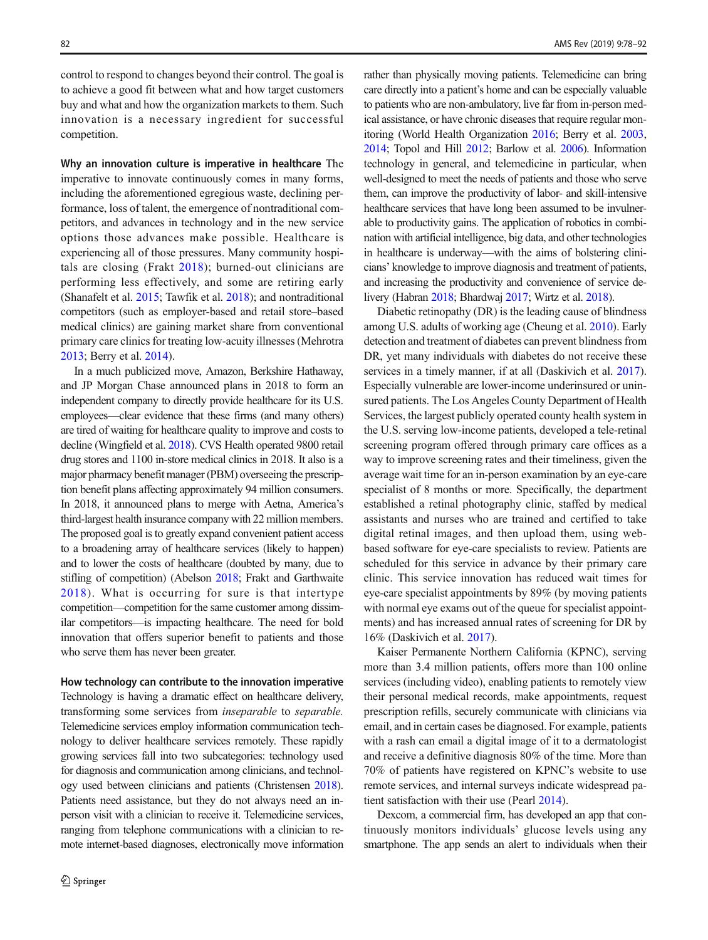control to respond to changes beyond their control. The goal is to achieve a good fit between what and how target customers buy and what and how the organization markets to them. Such innovation is a necessary ingredient for successful competition.

Why an innovation culture is imperative in healthcare The imperative to innovate continuously comes in many forms, including the aforementioned egregious waste, declining performance, loss of talent, the emergence of nontraditional competitors, and advances in technology and in the new service options those advances make possible. Healthcare is experiencing all of those pressures. Many community hospitals are closing (Frakt [2018\)](#page-13-0); burned-out clinicians are performing less effectively, and some are retiring early (Shanafelt et al. [2015](#page-14-0); Tawfik et al. [2018\)](#page-14-0); and nontraditional competitors (such as employer-based and retail store–based medical clinics) are gaining market share from conventional primary care clinics for treating low-acuity illnesses (Mehrotra [2013;](#page-13-0) Berry et al. [2014\)](#page-12-0).

In a much publicized move, Amazon, Berkshire Hathaway, and JP Morgan Chase announced plans in 2018 to form an independent company to directly provide healthcare for its U.S. employees—clear evidence that these firms (and many others) are tired of waiting for healthcare quality to improve and costs to decline (Wingfield et al. [2018\)](#page-14-0). CVS Health operated 9800 retail drug stores and 1100 in-store medical clinics in 2018. It also is a major pharmacy benefit manager (PBM) overseeing the prescription benefit plans affecting approximately 94 million consumers. In 2018, it announced plans to merge with Aetna, America's third-largest health insurance company with 22 million members. The proposed goal is to greatly expand convenient patient access to a broadening array of healthcare services (likely to happen) and to lower the costs of healthcare (doubted by many, due to stifling of competition) (Abelson [2018;](#page-12-0) Frakt and Garthwaite [2018](#page-13-0)). What is occurring for sure is that intertype competition—competition for the same customer among dissimilar competitors—is impacting healthcare. The need for bold innovation that offers superior benefit to patients and those who serve them has never been greater.

#### How technology can contribute to the innovation imperative

Technology is having a dramatic effect on healthcare delivery, transforming some services from inseparable to separable. Telemedicine services employ information communication technology to deliver healthcare services remotely. These rapidly growing services fall into two subcategories: technology used for diagnosis and communication among clinicians, and technology used between clinicians and patients (Christensen [2018\)](#page-13-0). Patients need assistance, but they do not always need an inperson visit with a clinician to receive it. Telemedicine services, ranging from telephone communications with a clinician to remote internet-based diagnoses, electronically move information

rather than physically moving patients. Telemedicine can bring care directly into a patient's home and can be especially valuable to patients who are non-ambulatory, live far from in-person medical assistance, or have chronic diseases that require regular monitoring (World Health Organization [2016](#page-14-0); Berry et al. [2003,](#page-12-0) [2014](#page-12-0); Topol and Hill [2012](#page-14-0); Barlow et al. [2006\)](#page-12-0). Information technology in general, and telemedicine in particular, when well-designed to meet the needs of patients and those who serve them, can improve the productivity of labor- and skill-intensive healthcare services that have long been assumed to be invulnerable to productivity gains. The application of robotics in combination with artificial intelligence, big data, and other technologies in healthcare is underway—with the aims of bolstering clinicians' knowledge to improve diagnosis and treatment of patients, and increasing the productivity and convenience of service delivery (Habran [2018;](#page-13-0) Bhardwaj [2017](#page-12-0); Wirtz et al. [2018\)](#page-14-0).

Diabetic retinopathy (DR) is the leading cause of blindness among U.S. adults of working age (Cheung et al. [2010\)](#page-13-0). Early detection and treatment of diabetes can prevent blindness from DR, yet many individuals with diabetes do not receive these services in a timely manner, if at all (Daskivich et al. [2017\)](#page-13-0). Especially vulnerable are lower-income underinsured or uninsured patients. The Los Angeles County Department of Health Services, the largest publicly operated county health system in the U.S. serving low-income patients, developed a tele-retinal screening program offered through primary care offices as a way to improve screening rates and their timeliness, given the average wait time for an in-person examination by an eye-care specialist of 8 months or more. Specifically, the department established a retinal photography clinic, staffed by medical assistants and nurses who are trained and certified to take digital retinal images, and then upload them, using webbased software for eye-care specialists to review. Patients are scheduled for this service in advance by their primary care clinic. This service innovation has reduced wait times for eye-care specialist appointments by 89% (by moving patients with normal eye exams out of the queue for specialist appointments) and has increased annual rates of screening for DR by 16% (Daskivich et al. [2017\)](#page-13-0).

Kaiser Permanente Northern California (KPNC), serving more than 3.4 million patients, offers more than 100 online services (including video), enabling patients to remotely view their personal medical records, make appointments, request prescription refills, securely communicate with clinicians via email, and in certain cases be diagnosed. For example, patients with a rash can email a digital image of it to a dermatologist and receive a definitive diagnosis 80% of the time. More than 70% of patients have registered on KPNC's website to use remote services, and internal surveys indicate widespread patient satisfaction with their use (Pearl [2014\)](#page-14-0).

Dexcom, a commercial firm, has developed an app that continuously monitors individuals' glucose levels using any smartphone. The app sends an alert to individuals when their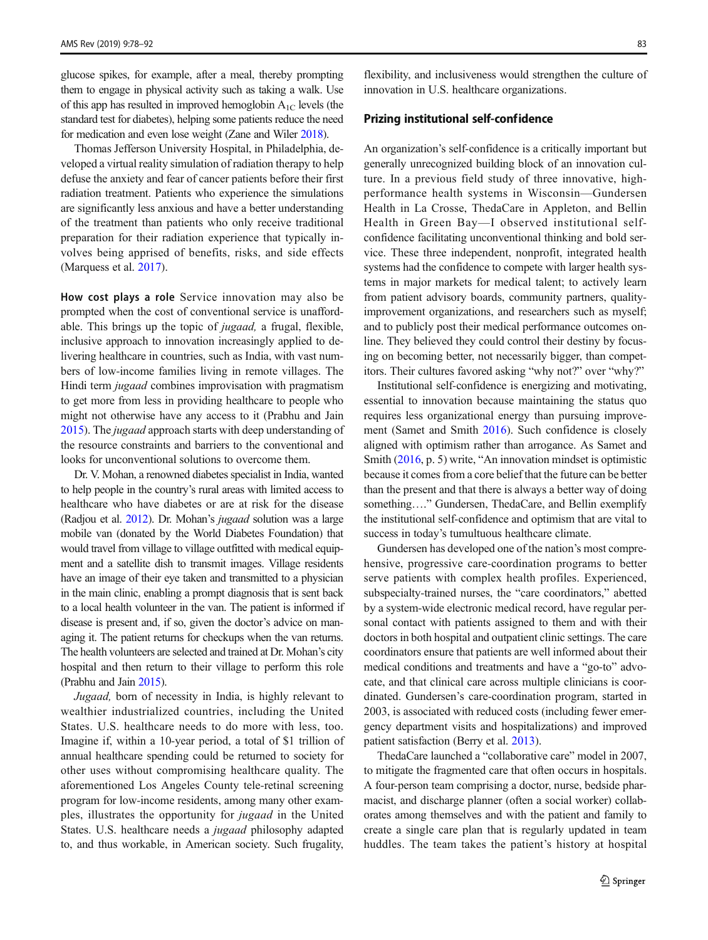glucose spikes, for example, after a meal, thereby prompting them to engage in physical activity such as taking a walk. Use of this app has resulted in improved hemoglobin  $A_{1C}$  levels (the standard test for diabetes), helping some patients reduce the need for medication and even lose weight (Zane and Wiler [2018\)](#page-14-0).

Thomas Jefferson University Hospital, in Philadelphia, developed a virtual reality simulation of radiation therapy to help defuse the anxiety and fear of cancer patients before their first radiation treatment. Patients who experience the simulations are significantly less anxious and have a better understanding of the treatment than patients who only receive traditional preparation for their radiation experience that typically involves being apprised of benefits, risks, and side effects (Marquess et al. [2017\)](#page-13-0).

How cost plays a role Service innovation may also be prompted when the cost of conventional service is unaffordable. This brings up the topic of *jugaad*, a frugal, flexible, inclusive approach to innovation increasingly applied to delivering healthcare in countries, such as India, with vast numbers of low-income families living in remote villages. The Hindi term *jugaad* combines improvisation with pragmatism to get more from less in providing healthcare to people who might not otherwise have any access to it (Prabhu and Jain [2015\)](#page-14-0). The jugaad approach starts with deep understanding of the resource constraints and barriers to the conventional and looks for unconventional solutions to overcome them.

Dr. V. Mohan, a renowned diabetes specialist in India, wanted to help people in the country's rural areas with limited access to healthcare who have diabetes or are at risk for the disease (Radjou et al. [2012\)](#page-14-0). Dr. Mohan's jugaad solution was a large mobile van (donated by the World Diabetes Foundation) that would travel from village to village outfitted with medical equipment and a satellite dish to transmit images. Village residents have an image of their eye taken and transmitted to a physician in the main clinic, enabling a prompt diagnosis that is sent back to a local health volunteer in the van. The patient is informed if disease is present and, if so, given the doctor's advice on managing it. The patient returns for checkups when the van returns. The health volunteers are selected and trained at Dr. Mohan's city hospital and then return to their village to perform this role (Prabhu and Jain [2015](#page-14-0)).

Jugaad, born of necessity in India, is highly relevant to wealthier industrialized countries, including the United States. U.S. healthcare needs to do more with less, too. Imagine if, within a 10-year period, a total of \$1 trillion of annual healthcare spending could be returned to society for other uses without compromising healthcare quality. The aforementioned Los Angeles County tele-retinal screening program for low-income residents, among many other examples, illustrates the opportunity for jugaad in the United States. U.S. healthcare needs a jugaad philosophy adapted to, and thus workable, in American society. Such frugality,

flexibility, and inclusiveness would strengthen the culture of innovation in U.S. healthcare organizations.

### Prizing institutional self-confidence

An organization's self-confidence is a critically important but generally unrecognized building block of an innovation culture. In a previous field study of three innovative, highperformance health systems in Wisconsin—Gundersen Health in La Crosse, ThedaCare in Appleton, and Bellin Health in Green Bay—I observed institutional selfconfidence facilitating unconventional thinking and bold service. These three independent, nonprofit, integrated health systems had the confidence to compete with larger health systems in major markets for medical talent; to actively learn from patient advisory boards, community partners, qualityimprovement organizations, and researchers such as myself; and to publicly post their medical performance outcomes online. They believed they could control their destiny by focusing on becoming better, not necessarily bigger, than competitors. Their cultures favored asking "why not?" over "why?"

Institutional self-confidence is energizing and motivating, essential to innovation because maintaining the status quo requires less organizational energy than pursuing improvement (Samet and Smith [2016](#page-14-0)). Such confidence is closely aligned with optimism rather than arrogance. As Samet and Smith ([2016](#page-14-0), p. 5) write, "An innovation mindset is optimistic because it comes from a core belief that the future can be better than the present and that there is always a better way of doing something...." Gundersen, ThedaCare, and Bellin exemplify the institutional self-confidence and optimism that are vital to success in today's tumultuous healthcare climate.

Gundersen has developed one of the nation's most comprehensive, progressive care-coordination programs to better serve patients with complex health profiles. Experienced, subspecialty-trained nurses, the "care coordinators," abetted by a system-wide electronic medical record, have regular personal contact with patients assigned to them and with their doctors in both hospital and outpatient clinic settings. The care coordinators ensure that patients are well informed about their medical conditions and treatments and have a "go-to" advocate, and that clinical care across multiple clinicians is coordinated. Gundersen's care-coordination program, started in 2003, is associated with reduced costs (including fewer emergency department visits and hospitalizations) and improved patient satisfaction (Berry et al. [2013](#page-12-0)).

ThedaCare launched a "collaborative care" model in 2007, to mitigate the fragmented care that often occurs in hospitals. A four-person team comprising a doctor, nurse, bedside pharmacist, and discharge planner (often a social worker) collaborates among themselves and with the patient and family to create a single care plan that is regularly updated in team huddles. The team takes the patient's history at hospital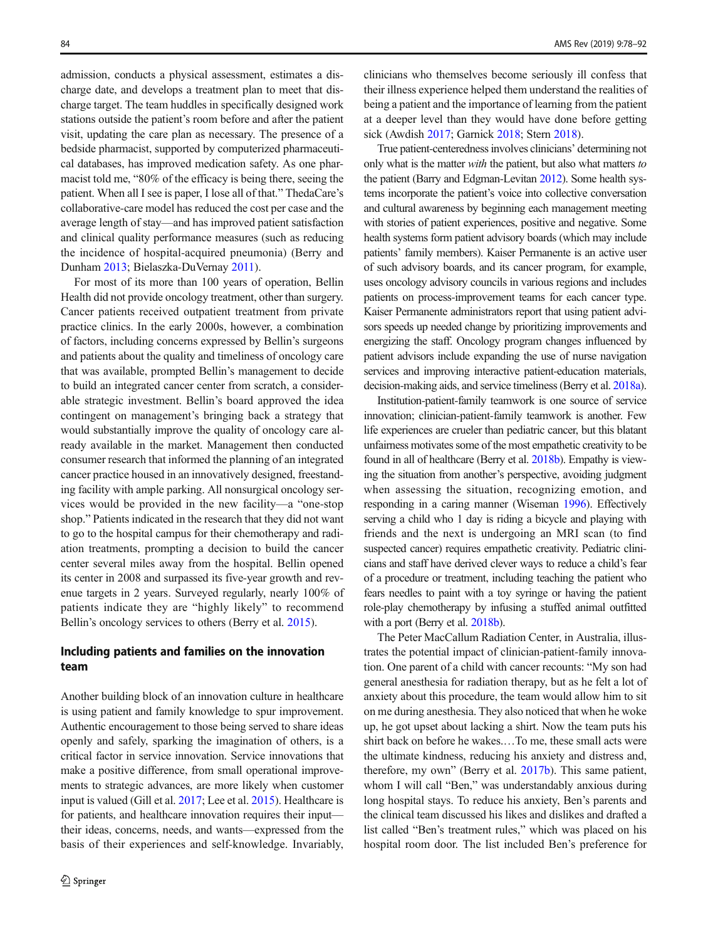admission, conducts a physical assessment, estimates a discharge date, and develops a treatment plan to meet that discharge target. The team huddles in specifically designed work stations outside the patient's room before and after the patient visit, updating the care plan as necessary. The presence of a bedside pharmacist, supported by computerized pharmaceutical databases, has improved medication safety. As one pharmacist told me, "80% of the efficacy is being there, seeing the patient. When all I see is paper, I lose all of that." ThedaCare's collaborative-care model has reduced the cost per case and the average length of stay—and has improved patient satisfaction and clinical quality performance measures (such as reducing the incidence of hospital-acquired pneumonia) (Berry and Dunham [2013;](#page-12-0) Bielaszka-DuVernay [2011](#page-12-0)).

For most of its more than 100 years of operation, Bellin Health did not provide oncology treatment, other than surgery. Cancer patients received outpatient treatment from private practice clinics. In the early 2000s, however, a combination of factors, including concerns expressed by Bellin's surgeons and patients about the quality and timeliness of oncology care that was available, prompted Bellin's management to decide to build an integrated cancer center from scratch, a considerable strategic investment. Bellin's board approved the idea contingent on management's bringing back a strategy that would substantially improve the quality of oncology care already available in the market. Management then conducted consumer research that informed the planning of an integrated cancer practice housed in an innovatively designed, freestanding facility with ample parking. All nonsurgical oncology services would be provided in the new facility—a "one-stop shop." Patients indicated in the research that they did not want to go to the hospital campus for their chemotherapy and radiation treatments, prompting a decision to build the cancer center several miles away from the hospital. Bellin opened its center in 2008 and surpassed its five-year growth and revenue targets in 2 years. Surveyed regularly, nearly 100% of patients indicate they are "highly likely" to recommend Bellin's oncology services to others (Berry et al. [2015](#page-12-0)).

### Including patients and families on the innovation team

Another building block of an innovation culture in healthcare is using patient and family knowledge to spur improvement. Authentic encouragement to those being served to share ideas openly and safely, sparking the imagination of others, is a critical factor in service innovation. Service innovations that make a positive difference, from small operational improvements to strategic advances, are more likely when customer input is valued (Gill et al. [2017;](#page-13-0) Lee et al. [2015](#page-13-0)). Healthcare is for patients, and healthcare innovation requires their input their ideas, concerns, needs, and wants—expressed from the basis of their experiences and self-knowledge. Invariably, clinicians who themselves become seriously ill confess that their illness experience helped them understand the realities of being a patient and the importance of learning from the patient at a deeper level than they would have done before getting sick (Awdish [2017](#page-12-0); Garnick [2018;](#page-13-0) Stern [2018\)](#page-14-0).

True patient-centeredness involves clinicians' determining not only what is the matter with the patient, but also what matters to the patient (Barry and Edgman-Levitan [2012\)](#page-12-0). Some health systems incorporate the patient's voice into collective conversation and cultural awareness by beginning each management meeting with stories of patient experiences, positive and negative. Some health systems form patient advisory boards (which may include patients' family members). Kaiser Permanente is an active user of such advisory boards, and its cancer program, for example, uses oncology advisory councils in various regions and includes patients on process-improvement teams for each cancer type. Kaiser Permanente administrators report that using patient advisors speeds up needed change by prioritizing improvements and energizing the staff. Oncology program changes influenced by patient advisors include expanding the use of nurse navigation services and improving interactive patient-education materials, decision-making aids, and service timeliness (Berry et al. [2018a\)](#page-12-0).

Institution-patient-family teamwork is one source of service innovation; clinician-patient-family teamwork is another. Few life experiences are crueler than pediatric cancer, but this blatant unfairness motivates some of the most empathetic creativity to be found in all of healthcare (Berry et al. [2018b\)](#page-12-0). Empathy is viewing the situation from another's perspective, avoiding judgment when assessing the situation, recognizing emotion, and responding in a caring manner (Wiseman [1996](#page-14-0)). Effectively serving a child who 1 day is riding a bicycle and playing with friends and the next is undergoing an MRI scan (to find suspected cancer) requires empathetic creativity. Pediatric clinicians and staff have derived clever ways to reduce a child's fear of a procedure or treatment, including teaching the patient who fears needles to paint with a toy syringe or having the patient role-play chemotherapy by infusing a stuffed animal outfitted with a port (Berry et al. [2018b\)](#page-12-0).

The Peter MacCallum Radiation Center, in Australia, illustrates the potential impact of clinician-patient-family innovation. One parent of a child with cancer recounts: "My son had general anesthesia for radiation therapy, but as he felt a lot of anxiety about this procedure, the team would allow him to sit on me during anesthesia. They also noticed that when he woke up, he got upset about lacking a shirt. Now the team puts his shirt back on before he wakes.…To me, these small acts were the ultimate kindness, reducing his anxiety and distress and, therefore, my own" (Berry et al. [2017b\)](#page-12-0). This same patient, whom I will call "Ben," was understandably anxious during long hospital stays. To reduce his anxiety, Ben's parents and the clinical team discussed his likes and dislikes and drafted a list called "Ben's treatment rules," which was placed on his hospital room door. The list included Ben's preference for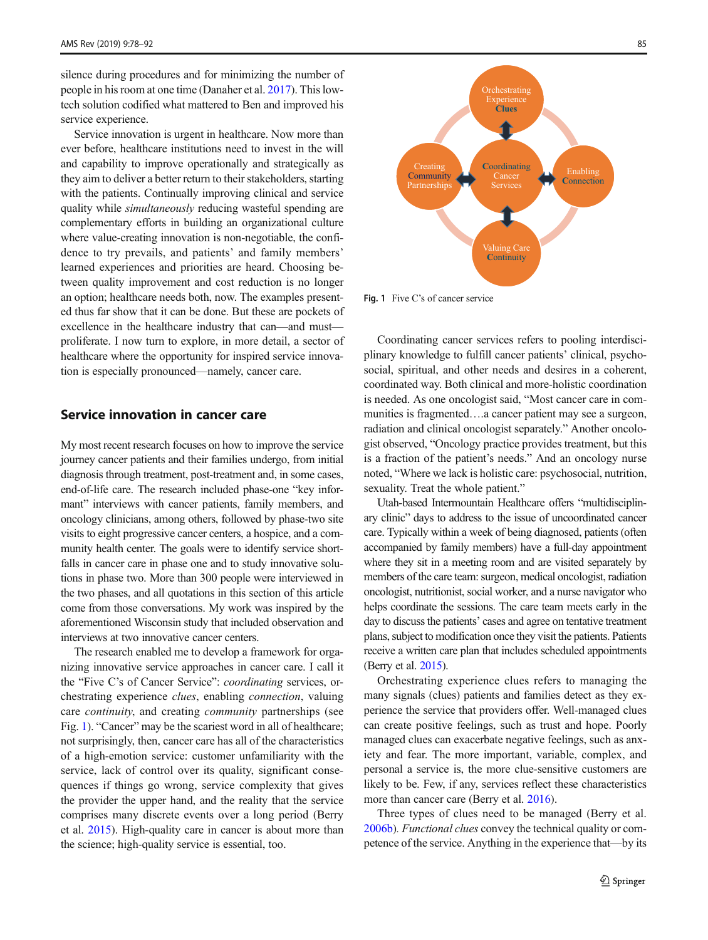silence during procedures and for minimizing the number of people in his room at one time (Danaher et al. [2017\)](#page-13-0). This lowtech solution codified what mattered to Ben and improved his service experience.

Service innovation is urgent in healthcare. Now more than ever before, healthcare institutions need to invest in the will and capability to improve operationally and strategically as they aim to deliver a better return to their stakeholders, starting with the patients. Continually improving clinical and service quality while simultaneously reducing wasteful spending are complementary efforts in building an organizational culture where value-creating innovation is non-negotiable, the confidence to try prevails, and patients' and family members' learned experiences and priorities are heard. Choosing between quality improvement and cost reduction is no longer an option; healthcare needs both, now. The examples presented thus far show that it can be done. But these are pockets of excellence in the healthcare industry that can—and must proliferate. I now turn to explore, in more detail, a sector of healthcare where the opportunity for inspired service innovation is especially pronounced—namely, cancer care.

# Service innovation in cancer care

My most recent research focuses on how to improve the service journey cancer patients and their families undergo, from initial diagnosis through treatment, post-treatment and, in some cases, end-of-life care. The research included phase-one "key informant" interviews with cancer patients, family members, and oncology clinicians, among others, followed by phase-two site visits to eight progressive cancer centers, a hospice, and a community health center. The goals were to identify service shortfalls in cancer care in phase one and to study innovative solutions in phase two. More than 300 people were interviewed in the two phases, and all quotations in this section of this article come from those conversations. My work was inspired by the aforementioned Wisconsin study that included observation and interviews at two innovative cancer centers.

The research enabled me to develop a framework for organizing innovative service approaches in cancer care. I call it the "Five C's of Cancer Service": coordinating services, orchestrating experience clues, enabling connection, valuing care continuity, and creating community partnerships (see Fig. 1). "Cancer" may be the scariest word in all of healthcare; not surprisingly, then, cancer care has all of the characteristics of a high-emotion service: customer unfamiliarity with the service, lack of control over its quality, significant consequences if things go wrong, service complexity that gives the provider the upper hand, and the reality that the service comprises many discrete events over a long period (Berry et al. [2015\)](#page-12-0). High-quality care in cancer is about more than the science; high-quality service is essential, too.



Fig. 1 Five C's of cancer service

Coordinating cancer services refers to pooling interdisciplinary knowledge to fulfill cancer patients' clinical, psychosocial, spiritual, and other needs and desires in a coherent, coordinated way. Both clinical and more-holistic coordination is needed. As one oncologist said, "Most cancer care in communities is fragmented….a cancer patient may see a surgeon, radiation and clinical oncologist separately." Another oncologist observed, "Oncology practice provides treatment, but this is a fraction of the patient's needs." And an oncology nurse noted, "Where we lack is holistic care: psychosocial, nutrition, sexuality. Treat the whole patient."

Utah-based Intermountain Healthcare offers "multidisciplinary clinic" days to address to the issue of uncoordinated cancer care. Typically within a week of being diagnosed, patients (often accompanied by family members) have a full-day appointment where they sit in a meeting room and are visited separately by members of the care team: surgeon, medical oncologist, radiation oncologist, nutritionist, social worker, and a nurse navigator who helps coordinate the sessions. The care team meets early in the day to discuss the patients' cases and agree on tentative treatment plans, subject to modification once they visit the patients. Patients receive a written care plan that includes scheduled appointments (Berry et al. [2015](#page-12-0)).

Orchestrating experience clues refers to managing the many signals (clues) patients and families detect as they experience the service that providers offer. Well-managed clues can create positive feelings, such as trust and hope. Poorly managed clues can exacerbate negative feelings, such as anxiety and fear. The more important, variable, complex, and personal a service is, the more clue-sensitive customers are likely to be. Few, if any, services reflect these characteristics more than cancer care (Berry et al. [2016](#page-12-0)).

Three types of clues need to be managed (Berry et al. [2006b\)](#page-12-0). Functional clues convey the technical quality or competence of the service. Anything in the experience that—by its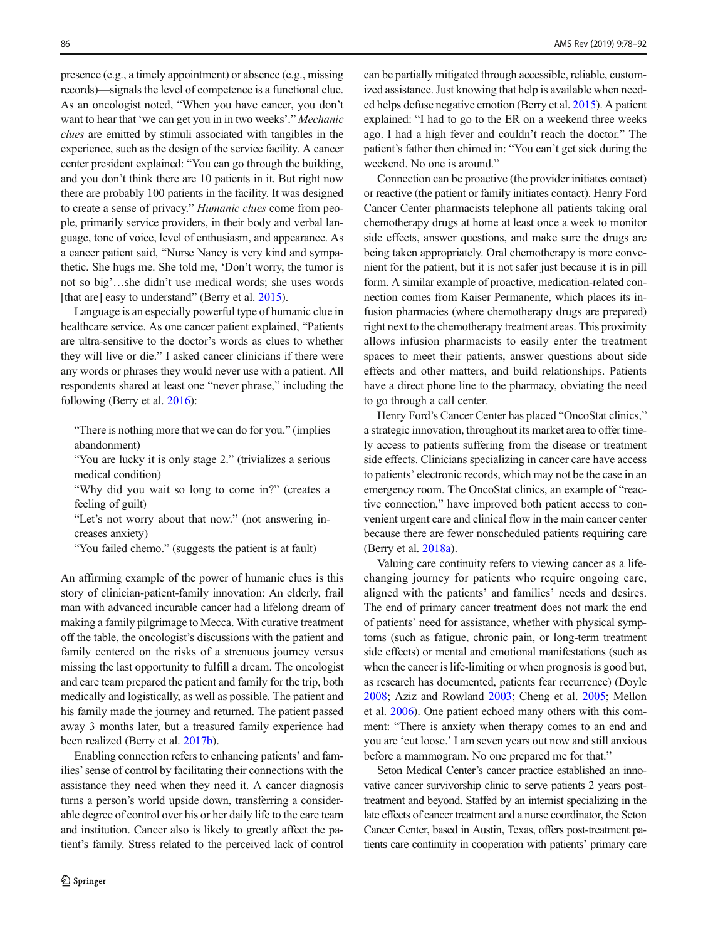presence (e.g., a timely appointment) or absence (e.g., missing records)—signals the level of competence is a functional clue. As an oncologist noted, "When you have cancer, you don't want to hear that 'we can get you in in two weeks'." Mechanic clues are emitted by stimuli associated with tangibles in the experience, such as the design of the service facility. A cancer center president explained: "You can go through the building, and you don't think there are 10 patients in it. But right now there are probably 100 patients in the facility. It was designed to create a sense of privacy." Humanic clues come from people, primarily service providers, in their body and verbal language, tone of voice, level of enthusiasm, and appearance. As a cancer patient said, "Nurse Nancy is very kind and sympathetic. She hugs me. She told me, 'Don't worry, the tumor is not so big'…she didn't use medical words; she uses words [that are] easy to understand" (Berry et al. [2015](#page-12-0)).

Language is an especially powerful type of humanic clue in healthcare service. As one cancer patient explained, "Patients are ultra-sensitive to the doctor's words as clues to whether they will live or die." I asked cancer clinicians if there were any words or phrases they would never use with a patient. All respondents shared at least one "never phrase," including the following (Berry et al. [2016](#page-12-0)):

"There is nothing more that we can do for you." (implies abandonment)

"You are lucky it is only stage 2." (trivializes a serious medical condition)

"Why did you wait so long to come in?" (creates a feeling of guilt)

"Let's not worry about that now." (not answering increases anxiety)

"You failed chemo." (suggests the patient is at fault)

An affirming example of the power of humanic clues is this story of clinician-patient-family innovation: An elderly, frail man with advanced incurable cancer had a lifelong dream of making a family pilgrimage to Mecca. With curative treatment off the table, the oncologist's discussions with the patient and family centered on the risks of a strenuous journey versus missing the last opportunity to fulfill a dream. The oncologist and care team prepared the patient and family for the trip, both medically and logistically, as well as possible. The patient and his family made the journey and returned. The patient passed away 3 months later, but a treasured family experience had been realized (Berry et al. [2017b\)](#page-12-0).

Enabling connection refers to enhancing patients' and families'sense of control by facilitating their connections with the assistance they need when they need it. A cancer diagnosis turns a person's world upside down, transferring a considerable degree of control over his or her daily life to the care team and institution. Cancer also is likely to greatly affect the patient's family. Stress related to the perceived lack of control can be partially mitigated through accessible, reliable, customized assistance. Just knowing that help is available when needed helps defuse negative emotion (Berry et al. [2015\)](#page-12-0). A patient explained: "I had to go to the ER on a weekend three weeks ago. I had a high fever and couldn't reach the doctor." The patient's father then chimed in: "You can't get sick during the weekend. No one is around."

Connection can be proactive (the provider initiates contact) or reactive (the patient or family initiates contact). Henry Ford Cancer Center pharmacists telephone all patients taking oral chemotherapy drugs at home at least once a week to monitor side effects, answer questions, and make sure the drugs are being taken appropriately. Oral chemotherapy is more convenient for the patient, but it is not safer just because it is in pill form. A similar example of proactive, medication-related connection comes from Kaiser Permanente, which places its infusion pharmacies (where chemotherapy drugs are prepared) right next to the chemotherapy treatment areas. This proximity allows infusion pharmacists to easily enter the treatment spaces to meet their patients, answer questions about side effects and other matters, and build relationships. Patients have a direct phone line to the pharmacy, obviating the need to go through a call center.

Henry Ford's Cancer Center has placed "OncoStat clinics," a strategic innovation, throughout its market area to offer timely access to patients suffering from the disease or treatment side effects. Clinicians specializing in cancer care have access to patients' electronic records, which may not be the case in an emergency room. The OncoStat clinics, an example of "reactive connection," have improved both patient access to convenient urgent care and clinical flow in the main cancer center because there are fewer nonscheduled patients requiring care (Berry et al. [2018a](#page-12-0)).

Valuing care continuity refers to viewing cancer as a lifechanging journey for patients who require ongoing care, aligned with the patients' and families' needs and desires. The end of primary cancer treatment does not mark the end of patients' need for assistance, whether with physical symptoms (such as fatigue, chronic pain, or long-term treatment side effects) or mental and emotional manifestations (such as when the cancer is life-limiting or when prognosis is good but, as research has documented, patients fear recurrence) (Doyle [2008;](#page-13-0) Aziz and Rowland [2003;](#page-12-0) Cheng et al. [2005;](#page-13-0) Mellon et al. [2006](#page-13-0)). One patient echoed many others with this comment: "There is anxiety when therapy comes to an end and you are 'cut loose.' I am seven years out now and still anxious before a mammogram. No one prepared me for that."

Seton Medical Center's cancer practice established an innovative cancer survivorship clinic to serve patients 2 years posttreatment and beyond. Staffed by an internist specializing in the late effects of cancer treatment and a nurse coordinator, the Seton Cancer Center, based in Austin, Texas, offers post-treatment patients care continuity in cooperation with patients' primary care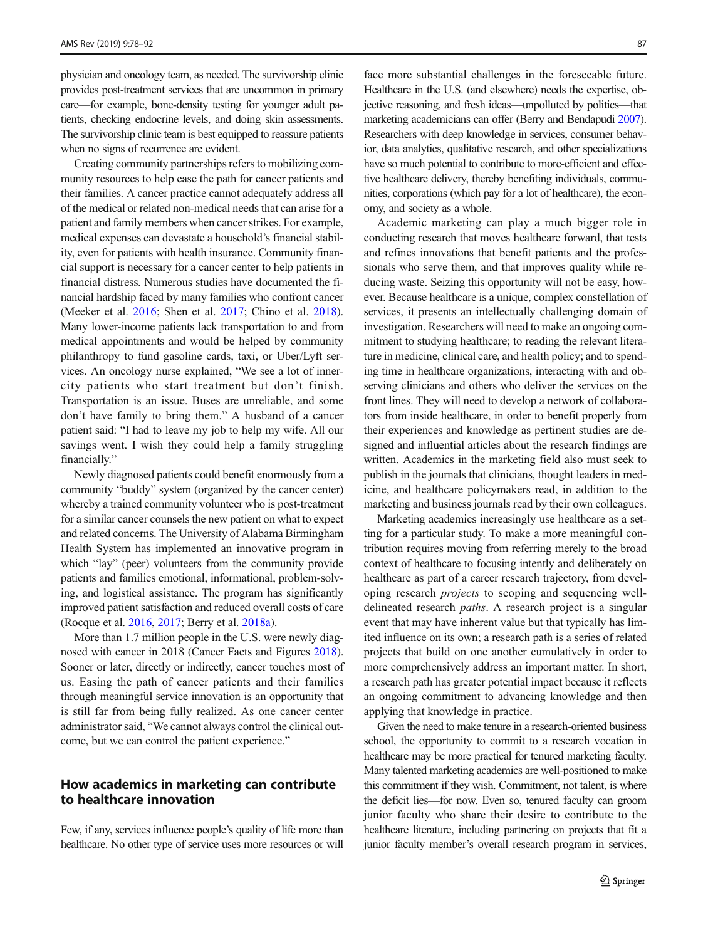physician and oncology team, as needed. The survivorship clinic provides post-treatment services that are uncommon in primary care—for example, bone-density testing for younger adult patients, checking endocrine levels, and doing skin assessments. The survivorship clinic team is best equipped to reassure patients when no signs of recurrence are evident.

Creating community partnerships refers to mobilizing community resources to help ease the path for cancer patients and their families. A cancer practice cannot adequately address all of the medical or related non-medical needs that can arise for a patient and family members when cancer strikes. For example, medical expenses can devastate a household's financial stability, even for patients with health insurance. Community financial support is necessary for a cancer center to help patients in financial distress. Numerous studies have documented the financial hardship faced by many families who confront cancer (Meeker et al. [2016;](#page-13-0) Shen et al. [2017](#page-14-0); Chino et al. [2018](#page-13-0)). Many lower-income patients lack transportation to and from medical appointments and would be helped by community philanthropy to fund gasoline cards, taxi, or Uber/Lyft services. An oncology nurse explained, "We see a lot of innercity patients who start treatment but don't finish. Transportation is an issue. Buses are unreliable, and some don't have family to bring them." A husband of a cancer patient said: "I had to leave my job to help my wife. All our savings went. I wish they could help a family struggling financially."

Newly diagnosed patients could benefit enormously from a community "buddy" system (organized by the cancer center) whereby a trained community volunteer who is post-treatment for a similar cancer counsels the new patient on what to expect and related concerns. The University of Alabama Birmingham Health System has implemented an innovative program in which "lay" (peer) volunteers from the community provide patients and families emotional, informational, problem-solving, and logistical assistance. The program has significantly improved patient satisfaction and reduced overall costs of care (Rocque et al. [2016,](#page-14-0) [2017](#page-14-0); Berry et al. [2018a\)](#page-12-0).

More than 1.7 million people in the U.S. were newly diagnosed with cancer in 2018 (Cancer Facts and Figures [2018\)](#page-12-0). Sooner or later, directly or indirectly, cancer touches most of us. Easing the path of cancer patients and their families through meaningful service innovation is an opportunity that is still far from being fully realized. As one cancer center administrator said, "We cannot always control the clinical outcome, but we can control the patient experience."

## How academics in marketing can contribute to healthcare innovation

Few, if any, services influence people's quality of life more than healthcare. No other type of service uses more resources or will

face more substantial challenges in the foreseeable future. Healthcare in the U.S. (and elsewhere) needs the expertise, objective reasoning, and fresh ideas—unpolluted by politics—that marketing academicians can offer (Berry and Bendapudi [2007\)](#page-12-0). Researchers with deep knowledge in services, consumer behavior, data analytics, qualitative research, and other specializations have so much potential to contribute to more-efficient and effective healthcare delivery, thereby benefiting individuals, communities, corporations (which pay for a lot of healthcare), the economy, and society as a whole.

Academic marketing can play a much bigger role in conducting research that moves healthcare forward, that tests and refines innovations that benefit patients and the professionals who serve them, and that improves quality while reducing waste. Seizing this opportunity will not be easy, however. Because healthcare is a unique, complex constellation of services, it presents an intellectually challenging domain of investigation. Researchers will need to make an ongoing commitment to studying healthcare; to reading the relevant literature in medicine, clinical care, and health policy; and to spending time in healthcare organizations, interacting with and observing clinicians and others who deliver the services on the front lines. They will need to develop a network of collaborators from inside healthcare, in order to benefit properly from their experiences and knowledge as pertinent studies are designed and influential articles about the research findings are written. Academics in the marketing field also must seek to publish in the journals that clinicians, thought leaders in medicine, and healthcare policymakers read, in addition to the marketing and business journals read by their own colleagues.

Marketing academics increasingly use healthcare as a setting for a particular study. To make a more meaningful contribution requires moving from referring merely to the broad context of healthcare to focusing intently and deliberately on healthcare as part of a career research trajectory, from developing research projects to scoping and sequencing welldelineated research paths. A research project is a singular event that may have inherent value but that typically has limited influence on its own; a research path is a series of related projects that build on one another cumulatively in order to more comprehensively address an important matter. In short, a research path has greater potential impact because it reflects an ongoing commitment to advancing knowledge and then applying that knowledge in practice.

Given the need to make tenure in a research-oriented business school, the opportunity to commit to a research vocation in healthcare may be more practical for tenured marketing faculty. Many talented marketing academics are well-positioned to make this commitment if they wish. Commitment, not talent, is where the deficit lies—for now. Even so, tenured faculty can groom junior faculty who share their desire to contribute to the healthcare literature, including partnering on projects that fit a junior faculty member's overall research program in services,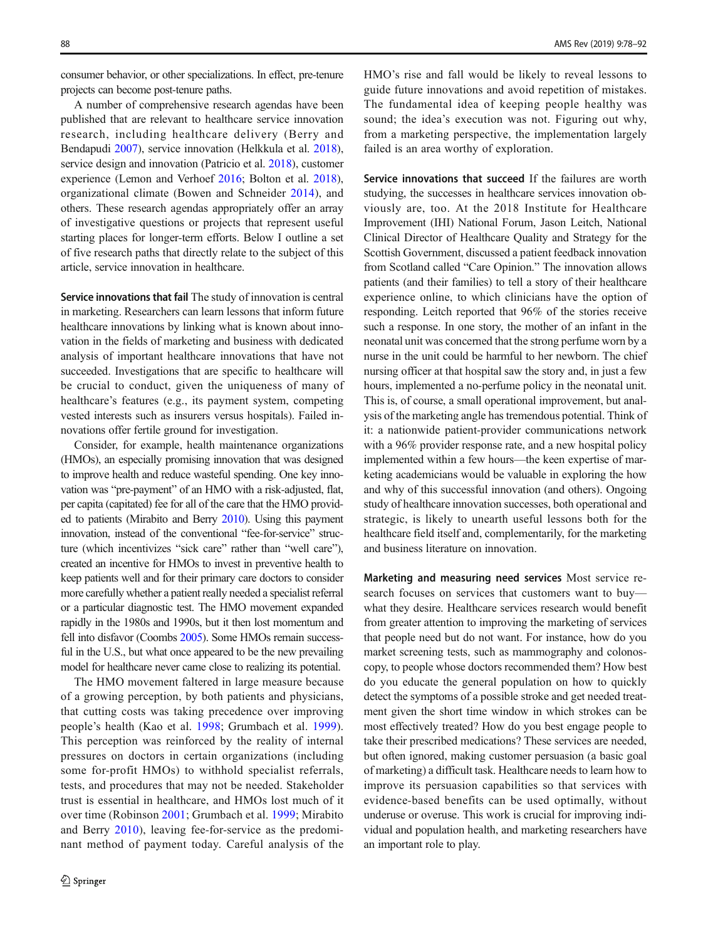consumer behavior, or other specializations. In effect, pre-tenure projects can become post-tenure paths.

A number of comprehensive research agendas have been published that are relevant to healthcare service innovation research, including healthcare delivery (Berry and Bendapudi [2007\)](#page-12-0), service innovation (Helkkula et al. [2018\)](#page-13-0), service design and innovation (Patricio et al. [2018\)](#page-14-0), customer experience (Lemon and Verhoef [2016](#page-13-0); Bolton et al. [2018](#page-12-0)), organizational climate (Bowen and Schneider [2014\)](#page-12-0), and others. These research agendas appropriately offer an array of investigative questions or projects that represent useful starting places for longer-term efforts. Below I outline a set of five research paths that directly relate to the subject of this article, service innovation in healthcare.

Service innovations that fail The study of innovation is central in marketing. Researchers can learn lessons that inform future healthcare innovations by linking what is known about innovation in the fields of marketing and business with dedicated analysis of important healthcare innovations that have not succeeded. Investigations that are specific to healthcare will be crucial to conduct, given the uniqueness of many of healthcare's features (e.g., its payment system, competing vested interests such as insurers versus hospitals). Failed innovations offer fertile ground for investigation.

Consider, for example, health maintenance organizations (HMOs), an especially promising innovation that was designed to improve health and reduce wasteful spending. One key innovation was "pre-payment" of an HMO with a risk-adjusted, flat, per capita (capitated) fee for all of the care that the HMO provided to patients (Mirabito and Berry [2010](#page-13-0)). Using this payment innovation, instead of the conventional "fee-for-service" structure (which incentivizes "sick care" rather than "well care"), created an incentive for HMOs to invest in preventive health to keep patients well and for their primary care doctors to consider more carefully whether a patient really needed a specialist referral or a particular diagnostic test. The HMO movement expanded rapidly in the 1980s and 1990s, but it then lost momentum and fell into disfavor (Coombs [2005](#page-13-0)). Some HMOs remain successful in the U.S., but what once appeared to be the new prevailing model for healthcare never came close to realizing its potential.

The HMO movement faltered in large measure because of a growing perception, by both patients and physicians, that cutting costs was taking precedence over improving people's health (Kao et al. [1998;](#page-13-0) Grumbach et al. [1999](#page-13-0)). This perception was reinforced by the reality of internal pressures on doctors in certain organizations (including some for-profit HMOs) to withhold specialist referrals, tests, and procedures that may not be needed. Stakeholder trust is essential in healthcare, and HMOs lost much of it over time (Robinson [2001;](#page-14-0) Grumbach et al. [1999;](#page-13-0) Mirabito and Berry [2010\)](#page-13-0), leaving fee-for-service as the predominant method of payment today. Careful analysis of the

HMO's rise and fall would be likely to reveal lessons to guide future innovations and avoid repetition of mistakes. The fundamental idea of keeping people healthy was sound; the idea's execution was not. Figuring out why, from a marketing perspective, the implementation largely failed is an area worthy of exploration.

Service innovations that succeed If the failures are worth studying, the successes in healthcare services innovation obviously are, too. At the 2018 Institute for Healthcare Improvement (IHI) National Forum, Jason Leitch, National Clinical Director of Healthcare Quality and Strategy for the Scottish Government, discussed a patient feedback innovation from Scotland called "Care Opinion." The innovation allows patients (and their families) to tell a story of their healthcare experience online, to which clinicians have the option of responding. Leitch reported that 96% of the stories receive such a response. In one story, the mother of an infant in the neonatal unit was concerned that the strong perfume worn by a nurse in the unit could be harmful to her newborn. The chief nursing officer at that hospital saw the story and, in just a few hours, implemented a no-perfume policy in the neonatal unit. This is, of course, a small operational improvement, but analysis of the marketing angle has tremendous potential. Think of it: a nationwide patient-provider communications network with a 96% provider response rate, and a new hospital policy implemented within a few hours—the keen expertise of marketing academicians would be valuable in exploring the how and why of this successful innovation (and others). Ongoing study of healthcare innovation successes, both operational and strategic, is likely to unearth useful lessons both for the healthcare field itself and, complementarily, for the marketing and business literature on innovation.

Marketing and measuring need services Most service research focuses on services that customers want to buy what they desire. Healthcare services research would benefit from greater attention to improving the marketing of services that people need but do not want. For instance, how do you market screening tests, such as mammography and colonoscopy, to people whose doctors recommended them? How best do you educate the general population on how to quickly detect the symptoms of a possible stroke and get needed treatment given the short time window in which strokes can be most effectively treated? How do you best engage people to take their prescribed medications? These services are needed, but often ignored, making customer persuasion (a basic goal of marketing) a difficult task. Healthcare needs to learn how to improve its persuasion capabilities so that services with evidence-based benefits can be used optimally, without underuse or overuse. This work is crucial for improving individual and population health, and marketing researchers have an important role to play.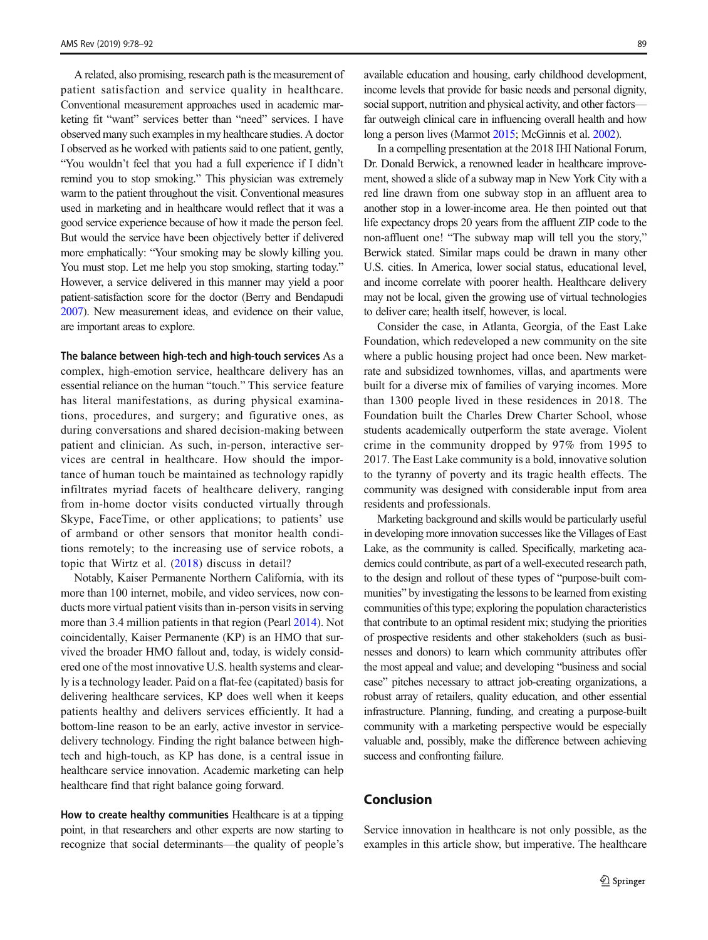A related, also promising, research path is the measurement of patient satisfaction and service quality in healthcare. Conventional measurement approaches used in academic marketing fit "want" services better than "need" services. I have observed many such examples in my healthcare studies. A doctor I observed as he worked with patients said to one patient, gently, "You wouldn't feel that you had a full experience if I didn't remind you to stop smoking." This physician was extremely warm to the patient throughout the visit. Conventional measures used in marketing and in healthcare would reflect that it was a good service experience because of how it made the person feel. But would the service have been objectively better if delivered more emphatically: "Your smoking may be slowly killing you. You must stop. Let me help you stop smoking, starting today." However, a service delivered in this manner may yield a poor patient-satisfaction score for the doctor (Berry and Bendapudi [2007\)](#page-12-0). New measurement ideas, and evidence on their value, are important areas to explore.

The balance between high-tech and high-touch services As a complex, high-emotion service, healthcare delivery has an essential reliance on the human "touch." This service feature has literal manifestations, as during physical examinations, procedures, and surgery; and figurative ones, as during conversations and shared decision-making between patient and clinician. As such, in-person, interactive services are central in healthcare. How should the importance of human touch be maintained as technology rapidly infiltrates myriad facets of healthcare delivery, ranging from in-home doctor visits conducted virtually through Skype, FaceTime, or other applications; to patients' use of armband or other sensors that monitor health conditions remotely; to the increasing use of service robots, a topic that Wirtz et al. ([2018](#page-14-0)) discuss in detail?

Notably, Kaiser Permanente Northern California, with its more than 100 internet, mobile, and video services, now conducts more virtual patient visits than in-person visits in serving more than 3.4 million patients in that region (Pearl [2014\)](#page-14-0). Not coincidentally, Kaiser Permanente (KP) is an HMO that survived the broader HMO fallout and, today, is widely considered one of the most innovative U.S. health systems and clearly is a technology leader. Paid on a flat-fee (capitated) basis for delivering healthcare services, KP does well when it keeps patients healthy and delivers services efficiently. It had a bottom-line reason to be an early, active investor in servicedelivery technology. Finding the right balance between hightech and high-touch, as KP has done, is a central issue in healthcare service innovation. Academic marketing can help healthcare find that right balance going forward.

How to create healthy communities Healthcare is at a tipping point, in that researchers and other experts are now starting to recognize that social determinants—the quality of people's

available education and housing, early childhood development, income levels that provide for basic needs and personal dignity, social support, nutrition and physical activity, and other factors far outweigh clinical care in influencing overall health and how long a person lives (Marmot [2015;](#page-13-0) McGinnis et al. [2002\)](#page-13-0).

In a compelling presentation at the 2018 IHI National Forum, Dr. Donald Berwick, a renowned leader in healthcare improvement, showed a slide of a subway map in New York City with a red line drawn from one subway stop in an affluent area to another stop in a lower-income area. He then pointed out that life expectancy drops 20 years from the affluent ZIP code to the non-affluent one! "The subway map will tell you the story," Berwick stated. Similar maps could be drawn in many other U.S. cities. In America, lower social status, educational level, and income correlate with poorer health. Healthcare delivery may not be local, given the growing use of virtual technologies to deliver care; health itself, however, is local.

Consider the case, in Atlanta, Georgia, of the East Lake Foundation, which redeveloped a new community on the site where a public housing project had once been. New marketrate and subsidized townhomes, villas, and apartments were built for a diverse mix of families of varying incomes. More than 1300 people lived in these residences in 2018. The Foundation built the Charles Drew Charter School, whose students academically outperform the state average. Violent crime in the community dropped by 97% from 1995 to 2017. The East Lake community is a bold, innovative solution to the tyranny of poverty and its tragic health effects. The community was designed with considerable input from area residents and professionals.

Marketing background and skills would be particularly useful in developing more innovation successes like the Villages of East Lake, as the community is called. Specifically, marketing academics could contribute, as part of a well-executed research path, to the design and rollout of these types of "purpose-built communities" by investigating the lessons to be learned from existing communities of this type; exploring the population characteristics that contribute to an optimal resident mix; studying the priorities of prospective residents and other stakeholders (such as businesses and donors) to learn which community attributes offer the most appeal and value; and developing "business and social case" pitches necessary to attract job-creating organizations, a robust array of retailers, quality education, and other essential infrastructure. Planning, funding, and creating a purpose-built community with a marketing perspective would be especially valuable and, possibly, make the difference between achieving success and confronting failure.

## Conclusion

Service innovation in healthcare is not only possible, as the examples in this article show, but imperative. The healthcare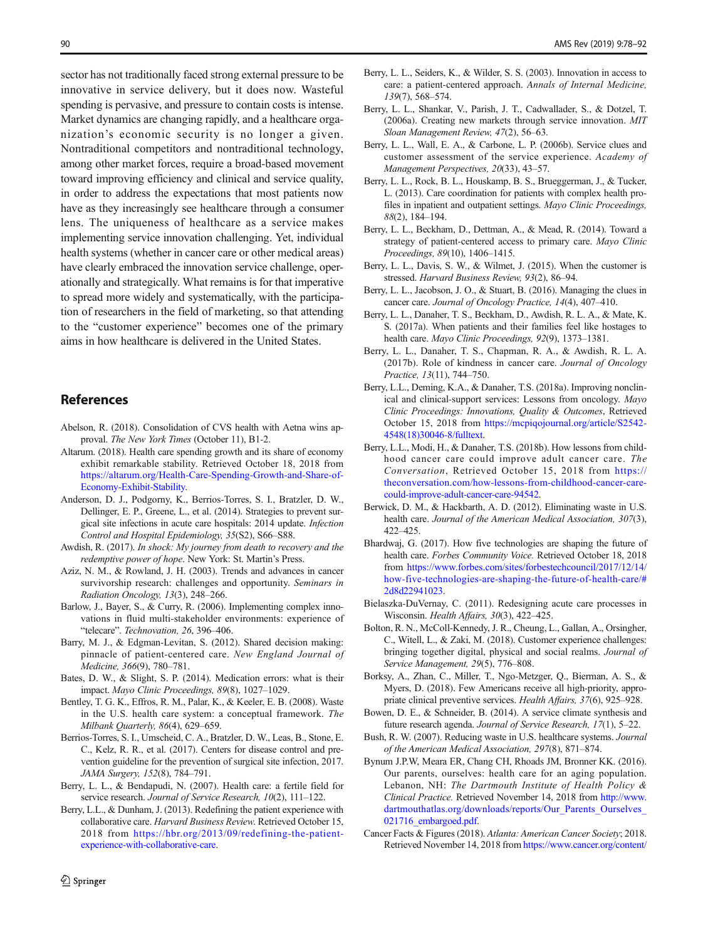<span id="page-12-0"></span>sector has not traditionally faced strong external pressure to be innovative in service delivery, but it does now. Wasteful spending is pervasive, and pressure to contain costs is intense. Market dynamics are changing rapidly, and a healthcare organization's economic security is no longer a given. Nontraditional competitors and nontraditional technology, among other market forces, require a broad-based movement toward improving efficiency and clinical and service quality, in order to address the expectations that most patients now have as they increasingly see healthcare through a consumer lens. The uniqueness of healthcare as a service makes implementing service innovation challenging. Yet, individual health systems (whether in cancer care or other medical areas) have clearly embraced the innovation service challenge, operationally and strategically. What remains is for that imperative to spread more widely and systematically, with the participation of researchers in the field of marketing, so that attending to the "customer experience" becomes one of the primary aims in how healthcare is delivered in the United States.

### References

- Abelson, R. (2018). Consolidation of CVS health with Aetna wins approval. The New York Times (October 11), B1-2.
- Altarum. (2018). Health care spending growth and its share of economy exhibit remarkable stability. Retrieved October 18, 2018 from [https://altarum.org/Health-Care-Spending-Growth-and-Share-of-](https://altarum.org/Health-Care-Spending-Growth-and-Share-of-Economy-Exhibit-Stability)[Economy-Exhibit-Stability.](https://altarum.org/Health-Care-Spending-Growth-and-Share-of-Economy-Exhibit-Stability)
- Anderson, D. J., Podgorny, K., Berrios-Torres, S. I., Bratzler, D. W., Dellinger, E. P., Greene, L., et al. (2014). Strategies to prevent surgical site infections in acute care hospitals: 2014 update. Infection Control and Hospital Epidemiology, 35(S2), S66–S88.
- Awdish, R. (2017). In shock: My journey from death to recovery and the redemptive power of hope. New York: St. Martin's Press.
- Aziz, N. M., & Rowland, J. H. (2003). Trends and advances in cancer survivorship research: challenges and opportunity. Seminars in Radiation Oncology, 13(3), 248–266.
- Barlow, J., Bayer, S., & Curry, R. (2006). Implementing complex innovations in fluid multi-stakeholder environments: experience of "telecare". Technovation, 26, 396–406.
- Barry, M. J., & Edgman-Levitan, S. (2012). Shared decision making: pinnacle of patient-centered care. New England Journal of Medicine, 366(9), 780–781.
- Bates, D. W., & Slight, S. P. (2014). Medication errors: what is their impact. Mayo Clinic Proceedings, 89(8), 1027–1029.
- Bentley, T. G. K., Effros, R. M., Palar, K., & Keeler, E. B. (2008). Waste in the U.S. health care system: a conceptual framework. The Milbank Quarterly, 86(4), 629–659.
- Berrios-Torres, S. I., Umscheid, C. A., Bratzler, D. W., Leas, B., Stone, E. C., Kelz, R. R., et al. (2017). Centers for disease control and prevention guideline for the prevention of surgical site infection, 2017. JAMA Surgery, 152(8), 784–791.
- Berry, L. L., & Bendapudi, N. (2007). Health care: a fertile field for service research. Journal of Service Research, 10(2), 111-122.
- Berry, L.L., & Dunham, J. (2013). Redefining the patient experience with collaborative care. Harvard Business Review. Retrieved October 15, 2018 from [https://hbr.org/2013/09/redefining-the-patient](https://hbr.org/2013/09/redefining-the-patient-experience-with-collaborative-care)[experience-with-collaborative-care](https://hbr.org/2013/09/redefining-the-patient-experience-with-collaborative-care).
- Berry, L. L., Seiders, K., & Wilder, S. S. (2003). Innovation in access to care: a patient-centered approach. Annals of Internal Medicine, 139(7), 568–574.
- Berry, L. L., Shankar, V., Parish, J. T., Cadwallader, S., & Dotzel, T. (2006a). Creating new markets through service innovation. MIT Sloan Management Review, 47(2), 56–63.
- Berry, L. L., Wall, E. A., & Carbone, L. P. (2006b). Service clues and customer assessment of the service experience. Academy of Management Perspectives, 20(33), 43–57.
- Berry, L. L., Rock, B. L., Houskamp, B. S., Brueggerman, J., & Tucker, L. (2013). Care coordination for patients with complex health profiles in inpatient and outpatient settings. Mayo Clinic Proceedings, 88(2), 184–194.
- Berry, L. L., Beckham, D., Dettman, A., & Mead, R. (2014). Toward a strategy of patient-centered access to primary care. Mayo Clinic Proceedings, 89(10), 1406–1415.
- Berry, L. L., Davis, S. W., & Wilmet, J. (2015). When the customer is stressed. Harvard Business Review, 93(2), 86–94.
- Berry, L. L., Jacobson, J. O., & Stuart, B. (2016). Managing the clues in cancer care. Journal of Oncology Practice, 14(4), 407–410.
- Berry, L. L., Danaher, T. S., Beckham, D., Awdish, R. L. A., & Mate, K. S. (2017a). When patients and their families feel like hostages to health care. Mayo Clinic Proceedings, 92(9), 1373–1381.
- Berry, L. L., Danaher, T. S., Chapman, R. A., & Awdish, R. L. A. (2017b). Role of kindness in cancer care. Journal of Oncology Practice, 13(11), 744–750.
- Berry, L.L., Deming, K.A., & Danaher, T.S. (2018a). Improving nonclinical and clinical-support services: Lessons from oncology. Mayo Clinic Proceedings: Innovations, Quality & Outcomes, Retrieved October 15, 2018 from [https://mcpiqojournal.org/article/S2542-](https://mcpiqojournal.org/article/S2542-4548(18)30046-8/fulltext) [4548\(18\)30046-8/fulltext](https://mcpiqojournal.org/article/S2542-4548(18)30046-8/fulltext).
- Berry, L.L., Modi, H., & Danaher, T.S. (2018b). How lessons from childhood cancer care could improve adult cancer care. The Conversation, Retrieved October 15, 2018 from [https://](https://theconversation.com/how-lessons-from-childhood-cancer-care-could-improve-adult-cancer-care-94542) [theconversation.com/how-lessons-from-childhood-cancer-care](https://theconversation.com/how-lessons-from-childhood-cancer-care-could-improve-adult-cancer-care-94542)[could-improve-adult-cancer-care-94542](https://theconversation.com/how-lessons-from-childhood-cancer-care-could-improve-adult-cancer-care-94542).
- Berwick, D. M., & Hackbarth, A. D. (2012). Eliminating waste in U.S. health care. Journal of the American Medical Association, 307(3), 422–425.
- Bhardwaj, G. (2017). How five technologies are shaping the future of health care. Forbes Community Voice. Retrieved October 18, 2018 from [https://www.forbes.com/sites/forbestechcouncil/2017/12/14/](https://www.forbes.com/sites/forbestechcouncil/2017/12/14/how-five-technologies-are-shaping-the-future-of-health-care/#2d8d22941023) [how-five-technologies-are-shaping-the-future-of-health-care/#](https://www.forbes.com/sites/forbestechcouncil/2017/12/14/how-five-technologies-are-shaping-the-future-of-health-care/#2d8d22941023) [2d8d22941023.](https://www.forbes.com/sites/forbestechcouncil/2017/12/14/how-five-technologies-are-shaping-the-future-of-health-care/#2d8d22941023)
- Bielaszka-DuVernay, C. (2011). Redesigning acute care processes in Wisconsin. Health Affairs, 30(3), 422–425.
- Bolton, R. N., McColl-Kennedy, J. R., Cheung, L., Gallan, A., Orsingher, C., Witell, L., & Zaki, M. (2018). Customer experience challenges: bringing together digital, physical and social realms. Journal of Service Management, 29(5), 776–808.
- Borksy, A., Zhan, C., Miller, T., Ngo-Metzger, Q., Bierman, A. S., & Myers, D. (2018). Few Americans receive all high-priority, appropriate clinical preventive services. Health Affairs, 37(6), 925–928.
- Bowen, D. E., & Schneider, B. (2014). A service climate synthesis and future research agenda. Journal of Service Research, 17(1), 5–22.
- Bush, R. W. (2007). Reducing waste in U.S. healthcare systems. Journal of the American Medical Association, 297(8), 871–874.
- Bynum J.P.W, Meara ER, Chang CH, Rhoads JM, Bronner KK. (2016). Our parents, ourselves: health care for an aging population. Lebanon, NH: The Dartmouth Institute of Health Policy & Clinical Practice. Retrieved November 14, 2018 from [http://www.](http://www.dartmouthatlas.org/downloads/reports/Our_Parents_Ourselves_021716_embargoed.pdf) [dartmouthatlas.org/downloads/reports/Our\\_Parents\\_Ourselves\\_](http://www.dartmouthatlas.org/downloads/reports/Our_Parents_Ourselves_021716_embargoed.pdf) [021716\\_embargoed.pdf](http://www.dartmouthatlas.org/downloads/reports/Our_Parents_Ourselves_021716_embargoed.pdf).
- Cancer Facts & Figures (2018). Atlanta: American Cancer Society; 2018. Retrieved November 14, 2018 from [https://www.cancer.org/content/](https://www.cancer.org/content/dam/cancer-org/research/cancer-facts-and-statistics/annual-cancer-facts-and-figures/2018/cancer-facts-and-figures-2018.pdf)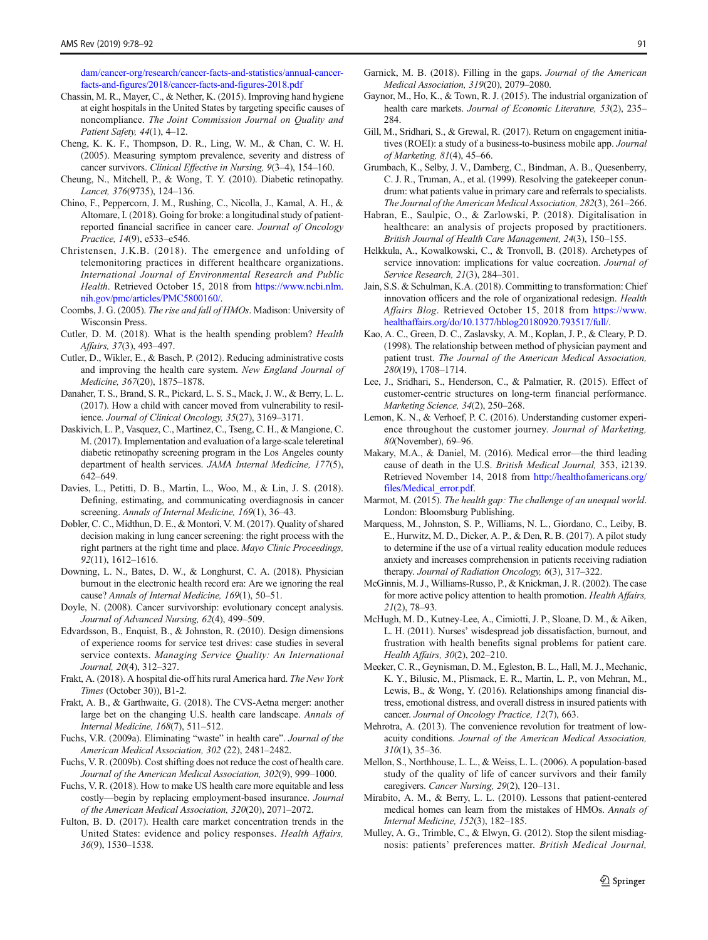<span id="page-13-0"></span>[dam/cancer-org/research/cancer-facts-and-statistics/annual-cancer](https://www.cancer.org/content/dam/cancer-org/research/cancer-facts-and-statistics/annual-cancer-facts-and-figures/2018/cancer-facts-and-figures-2018.pdf)[facts-and-figures/2018/cancer-facts-and-figures-2018.pdf](https://www.cancer.org/content/dam/cancer-org/research/cancer-facts-and-statistics/annual-cancer-facts-and-figures/2018/cancer-facts-and-figures-2018.pdf)

- Chassin, M. R., Mayer, C., & Nether, K. (2015). Improving hand hygiene at eight hospitals in the United States by targeting specific causes of noncompliance. The Joint Commission Journal on Quality and Patient Safety, 44(1), 4–12.
- Cheng, K. K. F., Thompson, D. R., Ling, W. M., & Chan, C. W. H. (2005). Measuring symptom prevalence, severity and distress of cancer survivors. Clinical Effective in Nursing, 9(3–4), 154–160.
- Cheung, N., Mitchell, P., & Wong, T. Y. (2010). Diabetic retinopathy. Lancet, 376(9735), 124–136.
- Chino, F., Peppercorn, J. M., Rushing, C., Nicolla, J., Kamal, A. H., & Altomare, I. (2018). Going for broke: a longitudinal study of patientreported financial sacrifice in cancer care. Journal of Oncology Practice, 14(9), e533–e546.
- Christensen, J.K.B. (2018). The emergence and unfolding of telemonitoring practices in different healthcare organizations. International Journal of Environmental Research and Public Health. Retrieved October 15, 2018 from [https://www.ncbi.nlm.](https://www.ncbi.nlm.nih.gov/pmc/articles/PMC5800160/) [nih.gov/pmc/articles/PMC5800160/](https://www.ncbi.nlm.nih.gov/pmc/articles/PMC5800160/).
- Coombs, J. G. (2005). The rise and fall of HMOs. Madison: University of Wisconsin Press.
- Cutler, D. M. (2018). What is the health spending problem? Health Affairs, 37(3), 493–497.
- Cutler, D., Wikler, E., & Basch, P. (2012). Reducing administrative costs and improving the health care system. New England Journal of Medicine, 367(20), 1875–1878.
- Danaher, T. S., Brand, S. R., Pickard, L. S. S., Mack, J. W., & Berry, L. L. (2017). How a child with cancer moved from vulnerability to resilience. Journal of Clinical Oncology, 35(27), 3169–3171.
- Daskivich, L. P., Vasquez, C., Martinez, C., Tseng, C. H., & Mangione, C. M. (2017). Implementation and evaluation of a large-scale teleretinal diabetic retinopathy screening program in the Los Angeles county department of health services. JAMA Internal Medicine, 177(5), 642–649.
- Davies, L., Petitti, D. B., Martin, L., Woo, M., & Lin, J. S. (2018). Defining, estimating, and communicating overdiagnosis in cancer screening. Annals of Internal Medicine, 169(1), 36-43.
- Dobler, C. C., Midthun, D. E., & Montori, V. M. (2017). Quality of shared decision making in lung cancer screening: the right process with the right partners at the right time and place. Mayo Clinic Proceedings, 92(11), 1612–1616.
- Downing, L. N., Bates, D. W., & Longhurst, C. A. (2018). Physician burnout in the electronic health record era: Are we ignoring the real cause? Annals of Internal Medicine, 169(1), 50–51.
- Doyle, N. (2008). Cancer survivorship: evolutionary concept analysis. Journal of Advanced Nursing, 62(4), 499–509.
- Edvardsson, B., Enquist, B., & Johnston, R. (2010). Design dimensions of experience rooms for service test drives: case studies in several service contexts. Managing Service Quality: An International Journal, 20(4), 312–327.
- Frakt, A. (2018). A hospital die-off hits rural America hard. The New York Times (October 30)), B1-2.
- Frakt, A. B., & Garthwaite, G. (2018). The CVS-Aetna merger: another large bet on the changing U.S. health care landscape. Annals of Internal Medicine, 168(7), 511–512.
- Fuchs, V.R. (2009a). Eliminating "waste" in health care". Journal of the American Medical Association, 302 (22), 2481–2482.
- Fuchs, V. R. (2009b). Cost shifting does not reduce the cost of health care. Journal of the American Medical Association, 302(9), 999–1000.
- Fuchs, V. R. (2018). How to make US health care more equitable and less costly—begin by replacing employment-based insurance. Journal of the American Medical Association, 320(20), 2071–2072.
- Fulton, B. D. (2017). Health care market concentration trends in the United States: evidence and policy responses. Health Affairs, 36(9), 1530–1538.
- Garnick, M. B. (2018). Filling in the gaps. Journal of the American Medical Association, 319(20), 2079–2080.
- Gaynor, M., Ho, K., & Town, R. J. (2015). The industrial organization of health care markets. Journal of Economic Literature, 53(2), 235– 284.
- Gill, M., Sridhari, S., & Grewal, R. (2017). Return on engagement initiatives (ROEI): a study of a business-to-business mobile app. Journal of Marketing, 81(4), 45–66.
- Grumbach, K., Selby, J. V., Damberg, C., Bindman, A. B., Quesenberry, C. J. R., Truman, A., et al. (1999). Resolving the gatekeeper conundrum: what patients value in primary care and referrals to specialists. The Journal of the American Medical Association, 282(3), 261–266.
- Habran, E., Saulpic, O., & Zarlowski, P. (2018). Digitalisation in healthcare: an analysis of projects proposed by practitioners. British Journal of Health Care Management, 24(3), 150–155.
- Helkkula, A., Kowalkowski, C., & Tronvoll, B. (2018). Archetypes of service innovation: implications for value cocreation. Journal of Service Research, 21(3), 284–301.
- Jain, S.S. & Schulman, K.A. (2018). Committing to transformation: Chief innovation officers and the role of organizational redesign. Health Affairs Blog. Retrieved October 15, 2018 from [https://www.](https://www.healthaffairs.org/do/10.1377/hblog20180920.793517/full/) [healthaffairs.org/do/10.1377/hblog20180920.793517/full/](https://www.healthaffairs.org/do/10.1377/hblog20180920.793517/full/).
- Kao, A. C., Green, D. C., Zaslavsky, A. M., Koplan, J. P., & Cleary, P. D. (1998). The relationship between method of physician payment and patient trust. The Journal of the American Medical Association, 280(19), 1708–1714.
- Lee, J., Sridhari, S., Henderson, C., & Palmatier, R. (2015). Effect of customer-centric structures on long-term financial performance. Marketing Science, 34(2), 250–268.
- Lemon, K. N., & Verhoef, P. C. (2016). Understanding customer experience throughout the customer journey. Journal of Marketing, 80(November), 69–96.
- Makary, M.A., & Daniel, M. (2016). Medical error—the third leading cause of death in the U.S. British Medical Journal, 353, i2139. Retrieved November 14, 2018 from [http://healthofamericans.org/](http://healthofamericans.org/files/Medical_error.pdf) [files/Medical\\_error.pdf](http://healthofamericans.org/files/Medical_error.pdf).
- Marmot, M. (2015). The health gap: The challenge of an unequal world. London: Bloomsburg Publishing.
- Marquess, M., Johnston, S. P., Williams, N. L., Giordano, C., Leiby, B. E., Hurwitz, M. D., Dicker, A. P., & Den, R. B. (2017). A pilot study to determine if the use of a virtual reality education module reduces anxiety and increases comprehension in patients receiving radiation therapy. Journal of Radiation Oncology, 6(3), 317–322.
- McGinnis, M. J., Williams-Russo, P., & Knickman, J. R. (2002). The case for more active policy attention to health promotion. Health Affairs, 21(2), 78–93.
- McHugh, M. D., Kutney-Lee, A., Cimiotti, J. P., Sloane, D. M., & Aiken, L. H. (2011). Nurses' wisdespread job dissatisfaction, burnout, and frustration with health benefits signal problems for patient care. Health Affairs, 30(2), 202–210.
- Meeker, C. R., Geynisman, D. M., Egleston, B. L., Hall, M. J., Mechanic, K. Y., Bilusic, M., Plismack, E. R., Martin, L. P., von Mehran, M., Lewis, B., & Wong, Y. (2016). Relationships among financial distress, emotional distress, and overall distress in insured patients with cancer. Journal of Oncology Practice, 12(7), 663.
- Mehrotra, A. (2013). The convenience revolution for treatment of lowacuity conditions. Journal of the American Medical Association, 310(1), 35–36.
- Mellon, S., Northhouse, L. L., & Weiss, L. L. (2006). A population-based study of the quality of life of cancer survivors and their family caregivers. Cancer Nursing, 29(2), 120–131.
- Mirabito, A. M., & Berry, L. L. (2010). Lessons that patient-centered medical homes can learn from the mistakes of HMOs. Annals of Internal Medicine, 152(3), 182–185.
- Mulley, A. G., Trimble, C., & Elwyn, G. (2012). Stop the silent misdiagnosis: patients' preferences matter. British Medical Journal,